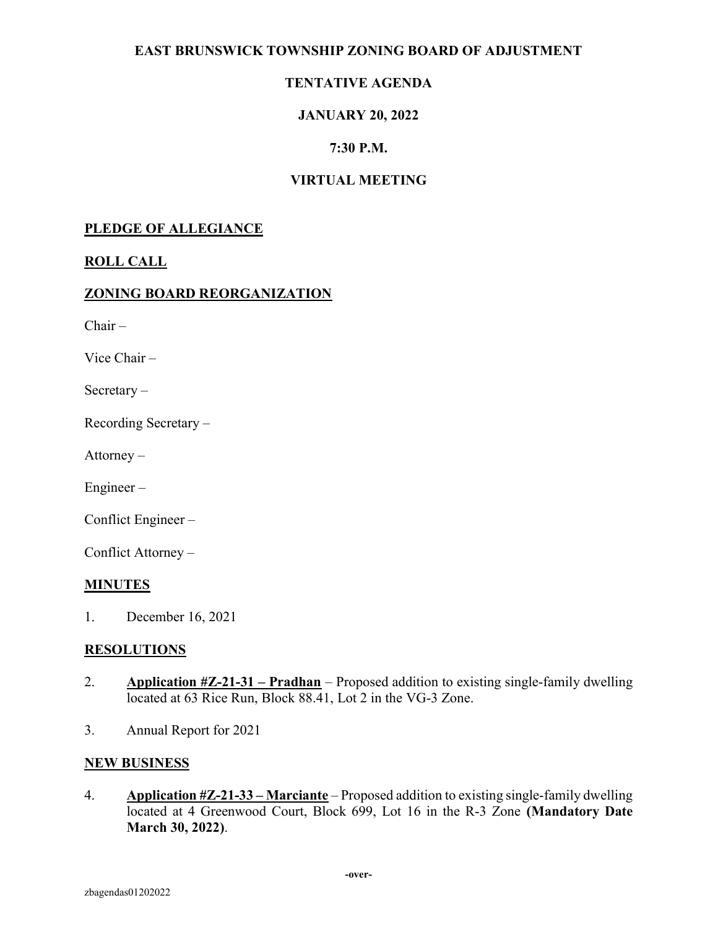## EAST BRUNSWICK TOWNSHIP ZONING BOARD OF ADJUSTMENT

# TENTATIVE AGENDA

## JANUARY 20, 2022

## 7:30 P.M.

## VIRTUAL MEETING

### PLEDGE OF ALLEGIANCE

## ROLL CALL

#### ZONING BOARD REORGANIZATION

 $Chair -$ 

Vice Chair –

Secretary –

Recording Secretary –

Attorney –

Engineer –

Conflict Engineer –

Conflict Attorney –

#### **MINUTES**

1. December 16, 2021

#### **RESOLUTIONS**

- 2. Application  $\#Z-21-31$  Pradhan Proposed addition to existing single-family dwelling located at 63 Rice Run, Block 88.41, Lot 2 in the VG-3 Zone.
- 3. Annual Report for 2021

#### NEW BUSINESS

4. Application  $\#Z-21-33-Marciante-Proposed addition to existing single-family dwelling$ located at 4 Greenwood Court, Block 699, Lot 16 in the R-3 Zone (Mandatory Date March 30, 2022).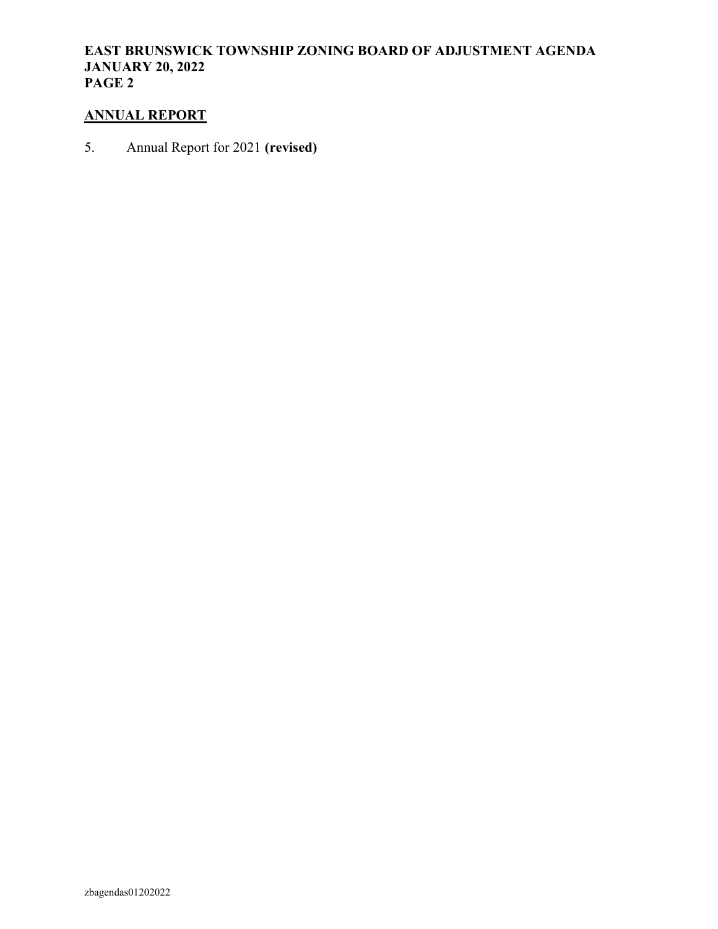## EAST BRUNSWICK TOWNSHIP ZONING BOARD OF ADJUSTMENT AGENDA JANUARY 20, 2022 PAGE 2

## ANNUAL REPORT

5. Annual Report for 2021 (revised)